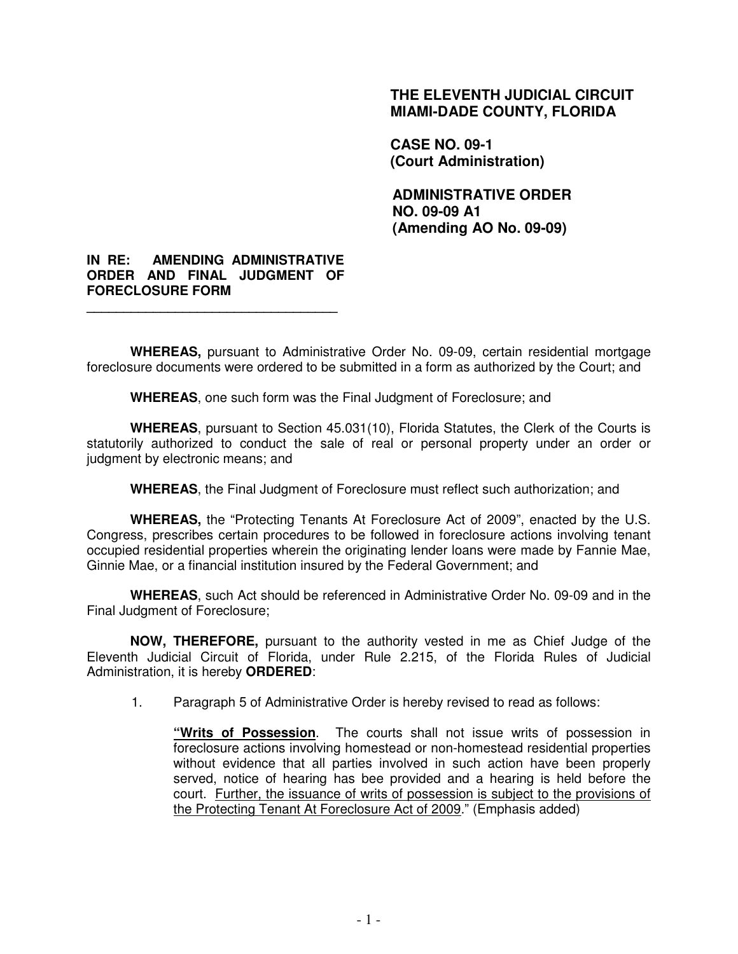### **THE ELEVENTH JUDICIAL CIRCUIT MIAMI-DADE COUNTY, FLORIDA**

**CASE NO. 09-1 (Court Administration)** 

**ADMINISTRATIVE ORDER NO. 09-09 A1 (Amending AO No. 09-09)** 

#### **IN RE: AMENDING ADMINISTRATIVE ORDER AND FINAL JUDGMENT OF FORECLOSURE FORM**

**\_\_\_\_\_\_\_\_\_\_\_\_\_\_\_\_\_\_\_\_\_\_\_\_\_\_\_\_\_\_\_\_\_\_** 

**WHEREAS,** pursuant to Administrative Order No. 09-09, certain residential mortgage foreclosure documents were ordered to be submitted in a form as authorized by the Court; and

**WHEREAS**, one such form was the Final Judgment of Foreclosure; and

**WHEREAS**, pursuant to Section 45.031(10), Florida Statutes, the Clerk of the Courts is statutorily authorized to conduct the sale of real or personal property under an order or judgment by electronic means; and

**WHEREAS**, the Final Judgment of Foreclosure must reflect such authorization; and

**WHEREAS,** the "Protecting Tenants At Foreclosure Act of 2009", enacted by the U.S. Congress, prescribes certain procedures to be followed in foreclosure actions involving tenant occupied residential properties wherein the originating lender loans were made by Fannie Mae, Ginnie Mae, or a financial institution insured by the Federal Government; and

**WHEREAS**, such Act should be referenced in Administrative Order No. 09-09 and in the Final Judgment of Foreclosure;

**NOW, THEREFORE,** pursuant to the authority vested in me as Chief Judge of the Eleventh Judicial Circuit of Florida, under Rule 2.215, of the Florida Rules of Judicial Administration, it is hereby **ORDERED**:

1. Paragraph 5 of Administrative Order is hereby revised to read as follows:

 **"Writs of Possession**. The courts shall not issue writs of possession in foreclosure actions involving homestead or non-homestead residential properties without evidence that all parties involved in such action have been properly served, notice of hearing has bee provided and a hearing is held before the court. Further, the issuance of writs of possession is subject to the provisions of the Protecting Tenant At Foreclosure Act of 2009." (Emphasis added)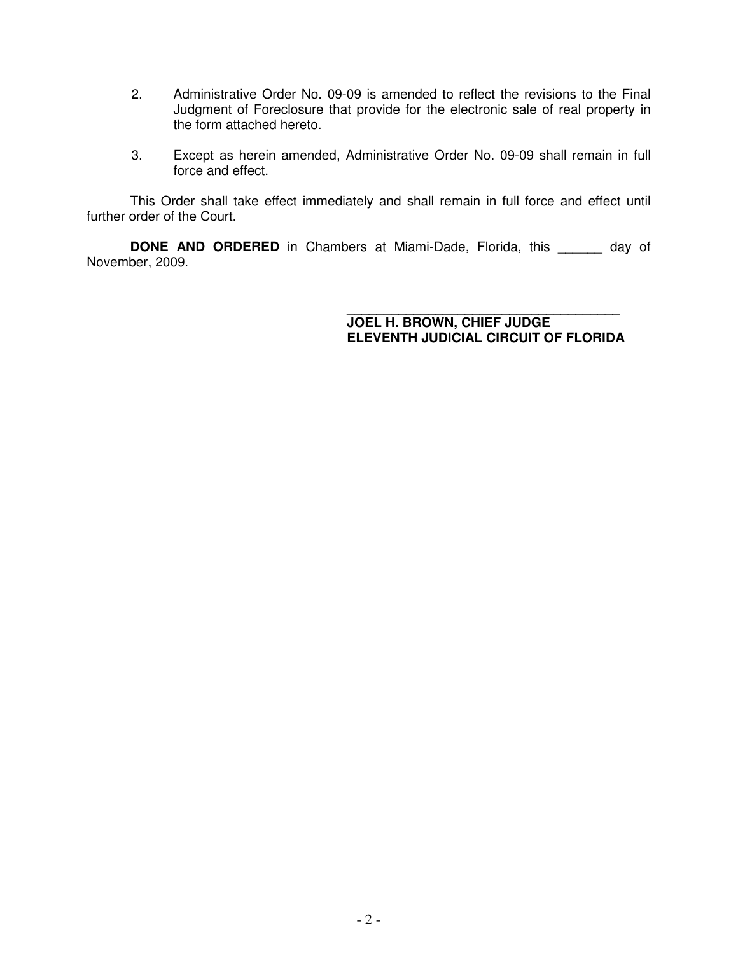- 2. Administrative Order No. 09-09 is amended to reflect the revisions to the Final Judgment of Foreclosure that provide for the electronic sale of real property in the form attached hereto.
- 3. Except as herein amended, Administrative Order No. 09-09 shall remain in full force and effect.

This Order shall take effect immediately and shall remain in full force and effect until further order of the Court.

**DONE AND ORDERED** in Chambers at Miami-Dade, Florida, this \_\_\_\_\_\_ day of November, 2009.

> \_\_\_\_\_\_\_\_\_\_\_\_\_\_\_\_\_\_\_\_\_\_\_\_\_\_\_\_\_\_\_\_\_\_\_\_\_ **JOEL H. BROWN, CHIEF JUDGE ELEVENTH JUDICIAL CIRCUIT OF FLORIDA**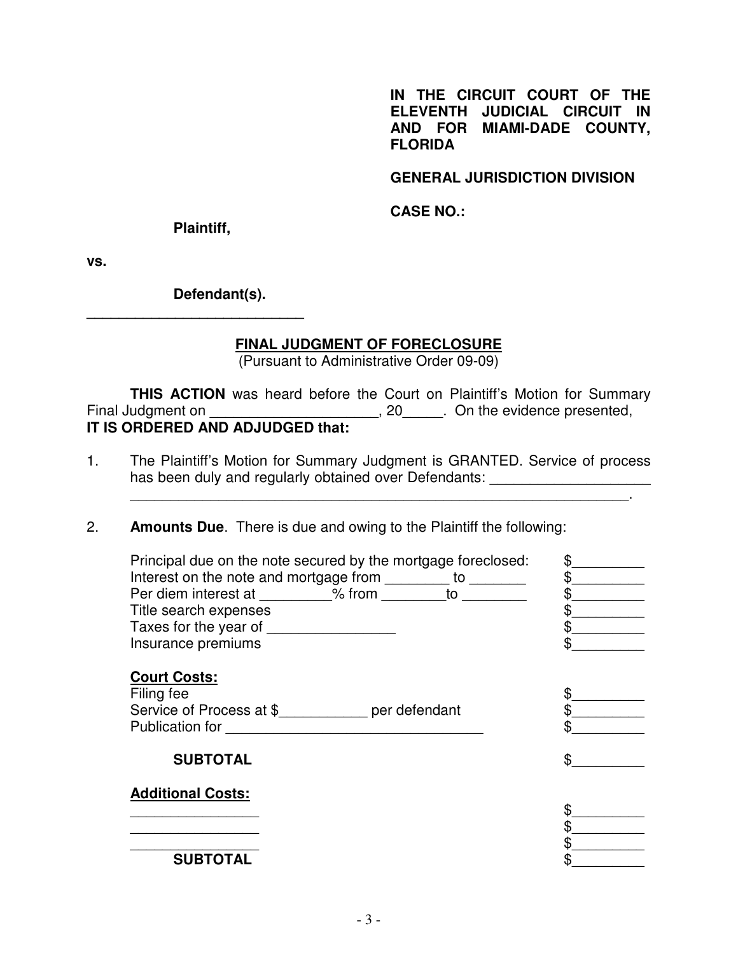**IN THE CIRCUIT COURT OF THE ELEVENTH JUDICIAL CIRCUIT IN AND FOR MIAMI-DADE COUNTY, FLORIDA** 

**GENERAL JURISDICTION DIVISION** 

**CASE NO.:** 

 **Plaintiff,** 

**\_\_\_\_\_\_\_\_\_\_\_\_\_\_\_\_\_\_\_\_\_\_\_\_\_\_\_** 

**vs.** 

 **Defendant(s).** 

## **FINAL JUDGMENT OF FORECLOSURE**

(Pursuant to Administrative Order 09-09)

**THIS ACTION** was heard before the Court on Plaintiff's Motion for Summary Final Judgment on \_\_\_\_\_\_\_\_\_\_\_\_\_\_\_\_\_\_\_\_\_\_, 20\_\_\_\_\_. On the evidence presented, **IT IS ORDERED AND ADJUDGED that:** 

1. The Plaintiff's Motion for Summary Judgment is GRANTED. Service of process has been duly and regularly obtained over Defendants:

\_\_\_\_\_\_\_\_\_\_\_\_\_\_\_\_\_\_\_\_\_\_\_\_\_\_\_\_\_\_\_\_\_\_\_\_\_\_\_\_\_\_\_\_\_\_\_\_\_\_\_\_\_\_\_\_\_\_\_\_\_\_.

2. **Amounts Due**. There is due and owing to the Plaintiff the following:

| Principal due on the note secured by the mortgage foreclosed:<br>Interest on the note and mortgage from ________ to ________<br>Per diem interest at _________% from to<br>Title search expenses<br>Taxes for the year of<br>Insurance premiums |  |
|-------------------------------------------------------------------------------------------------------------------------------------------------------------------------------------------------------------------------------------------------|--|
| <b>Court Costs:</b><br>Filing fee<br>Service of Process at \$ per defendant<br><b>Publication for</b>                                                                                                                                           |  |
| <b>SUBTOTAL</b>                                                                                                                                                                                                                                 |  |
| <b>Additional Costs:</b>                                                                                                                                                                                                                        |  |
|                                                                                                                                                                                                                                                 |  |
| <b>SUBTOTAL</b>                                                                                                                                                                                                                                 |  |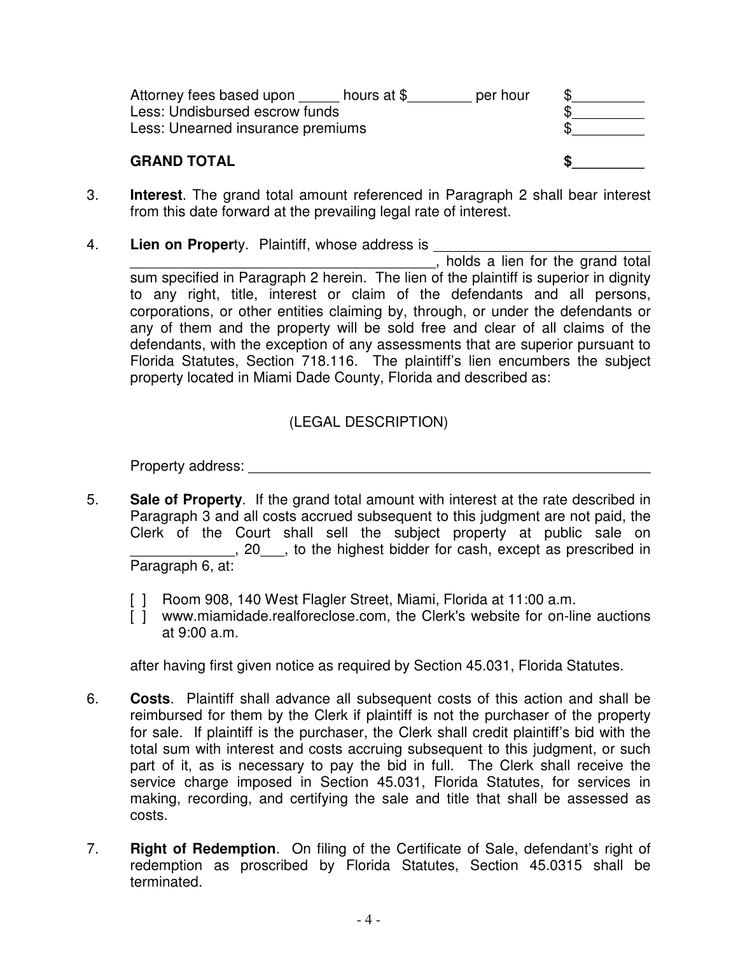| Attorney fees based upon hours at $$$ | per hour |  |
|---------------------------------------|----------|--|
| Less: Undisbursed escrow funds        |          |  |
| Less: Unearned insurance premiums     |          |  |
|                                       |          |  |

# **GRAND TOTAL** SPECIFIES

- 3. **Interest**. The grand total amount referenced in Paragraph 2 shall bear interest from this date forward at the prevailing legal rate of interest.
- 4. **Lien on Proper**ty. Plaintiff, whose address is

\_\_\_\_\_\_\_\_\_\_\_\_\_\_\_\_\_\_\_\_\_\_\_\_\_\_\_\_\_\_\_\_\_\_\_\_\_\_, holds a lien for the grand total sum specified in Paragraph 2 herein. The lien of the plaintiff is superior in dignity to any right, title, interest or claim of the defendants and all persons, corporations, or other entities claiming by, through, or under the defendants or any of them and the property will be sold free and clear of all claims of the defendants, with the exception of any assessments that are superior pursuant to Florida Statutes, Section 718.116. The plaintiff's lien encumbers the subject property located in Miami Dade County, Florida and described as:

# (LEGAL DESCRIPTION)

Property address: **Example 20** For all the set of  $\mathcal{L}$ 

- 5. **Sale of Property**. If the grand total amount with interest at the rate described in Paragraph 3 and all costs accrued subsequent to this judgment are not paid, the Clerk of the Court shall sell the subject property at public sale on \_\_\_\_\_\_\_\_\_\_\_\_\_, 20\_\_\_, to the highest bidder for cash, except as prescribed in Paragraph 6, at:
	- [ ] Room 908, 140 West Flagler Street, Miami, Florida at 11:00 a.m.
	- [] www.miamidade.realforeclose.com, the Clerk's website for on-line auctions at 9:00 a.m.

after having first given notice as required by Section 45.031, Florida Statutes.

- 6. **Costs**. Plaintiff shall advance all subsequent costs of this action and shall be reimbursed for them by the Clerk if plaintiff is not the purchaser of the property for sale. If plaintiff is the purchaser, the Clerk shall credit plaintiff's bid with the total sum with interest and costs accruing subsequent to this judgment, or such part of it, as is necessary to pay the bid in full. The Clerk shall receive the service charge imposed in Section 45.031, Florida Statutes, for services in making, recording, and certifying the sale and title that shall be assessed as costs.
- 7. **Right of Redemption**. On filing of the Certificate of Sale, defendant's right of redemption as proscribed by Florida Statutes, Section 45.0315 shall be terminated.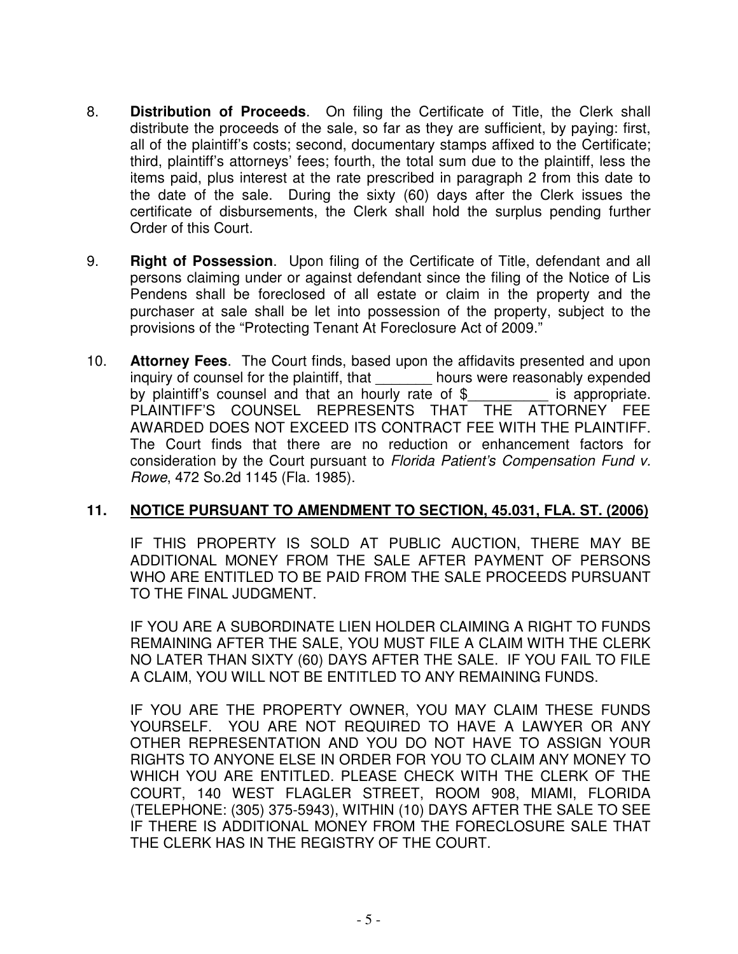- 8. **Distribution of Proceeds**. On filing the Certificate of Title, the Clerk shall distribute the proceeds of the sale, so far as they are sufficient, by paying: first, all of the plaintiff's costs; second, documentary stamps affixed to the Certificate; third, plaintiff's attorneys' fees; fourth, the total sum due to the plaintiff, less the items paid, plus interest at the rate prescribed in paragraph 2 from this date to the date of the sale. During the sixty (60) days after the Clerk issues the certificate of disbursements, the Clerk shall hold the surplus pending further Order of this Court.
- 9. **Right of Possession**. Upon filing of the Certificate of Title, defendant and all persons claiming under or against defendant since the filing of the Notice of Lis Pendens shall be foreclosed of all estate or claim in the property and the purchaser at sale shall be let into possession of the property, subject to the provisions of the "Protecting Tenant At Foreclosure Act of 2009."
- 10. **Attorney Fees**. The Court finds, based upon the affidavits presented and upon inquiry of counsel for the plaintiff, that hours were reasonably expended by plaintiff's counsel and that an hourly rate of \$ is appropriate. PLAINTIFF'S COUNSEL REPRESENTS THAT THE ATTORNEY FEE AWARDED DOES NOT EXCEED ITS CONTRACT FEE WITH THE PLAINTIFF. The Court finds that there are no reduction or enhancement factors for consideration by the Court pursuant to Florida Patient's Compensation Fund v. Rowe, 472 So.2d 1145 (Fla. 1985).

## **11. NOTICE PURSUANT TO AMENDMENT TO SECTION, 45.031, FLA. ST. (2006)**

 IF THIS PROPERTY IS SOLD AT PUBLIC AUCTION, THERE MAY BE ADDITIONAL MONEY FROM THE SALE AFTER PAYMENT OF PERSONS WHO ARE ENTITLED TO BE PAID FROM THE SALE PROCEEDS PURSUANT TO THE FINAL JUDGMENT.

 IF YOU ARE A SUBORDINATE LIEN HOLDER CLAIMING A RIGHT TO FUNDS REMAINING AFTER THE SALE, YOU MUST FILE A CLAIM WITH THE CLERK NO LATER THAN SIXTY (60) DAYS AFTER THE SALE. IF YOU FAIL TO FILE A CLAIM, YOU WILL NOT BE ENTITLED TO ANY REMAINING FUNDS.

 IF YOU ARE THE PROPERTY OWNER, YOU MAY CLAIM THESE FUNDS YOURSELF. YOU ARE NOT REQUIRED TO HAVE A LAWYER OR ANY OTHER REPRESENTATION AND YOU DO NOT HAVE TO ASSIGN YOUR RIGHTS TO ANYONE ELSE IN ORDER FOR YOU TO CLAIM ANY MONEY TO WHICH YOU ARE ENTITLED. PLEASE CHECK WITH THE CLERK OF THE COURT, 140 WEST FLAGLER STREET, ROOM 908, MIAMI, FLORIDA (TELEPHONE: (305) 375-5943), WITHIN (10) DAYS AFTER THE SALE TO SEE IF THERE IS ADDITIONAL MONEY FROM THE FORECLOSURE SALE THAT THE CLERK HAS IN THE REGISTRY OF THE COURT.